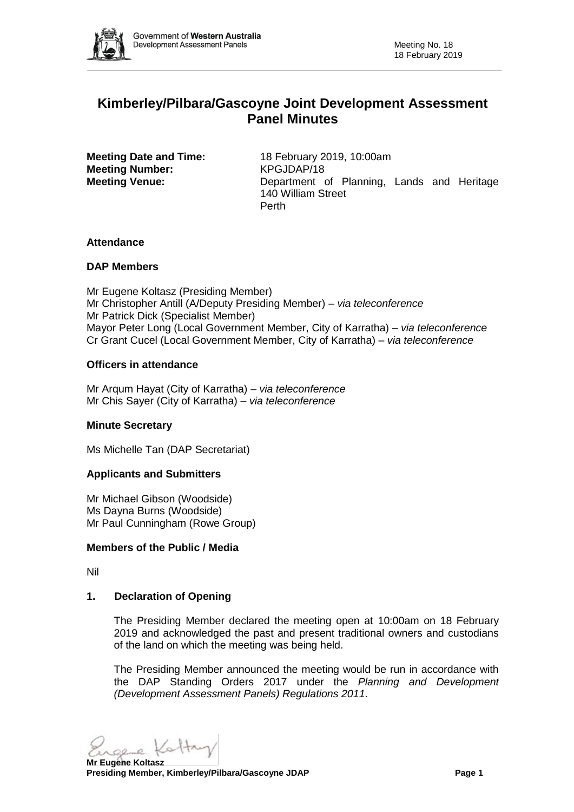

# **Kimberley/Pilbara/Gascoyne Joint Development Assessment Panel Minutes**

**Meeting Number:** KPGJDAP/18

**Meeting Date and Time:** 18 February 2019, 10:00am **Meeting Venue:** Department of Planning, Lands and Heritage 140 William Street Perth

## **Attendance**

## **DAP Members**

Mr Eugene Koltasz (Presiding Member) Mr Christopher Antill (A/Deputy Presiding Member) *– via teleconference* Mr Patrick Dick (Specialist Member) Mayor Peter Long (Local Government Member, City of Karratha) *– via teleconference* Cr Grant Cucel (Local Government Member, City of Karratha) *– via teleconference*

## **Officers in attendance**

Mr Arqum Hayat (City of Karratha) *– via teleconference* Mr Chis Sayer (City of Karratha) *– via teleconference*

## **Minute Secretary**

Ms Michelle Tan (DAP Secretariat)

## **Applicants and Submitters**

Mr Michael Gibson (Woodside) Ms Dayna Burns (Woodside) Mr Paul Cunningham (Rowe Group)

#### **Members of the Public / Media**

Nil

## **1. Declaration of Opening**

The Presiding Member declared the meeting open at 10:00am on 18 February 2019 and acknowledged the past and present traditional owners and custodians of the land on which the meeting was being held.

The Presiding Member announced the meeting would be run in accordance with the DAP Standing Orders 2017 under the *Planning and Development (Development Assessment Panels) Regulations 2011*.

sere Kattry

**Mr Eugene Koltasz Presiding Member, Kimberley/Pilbara/Gascoyne JDAP Page 1**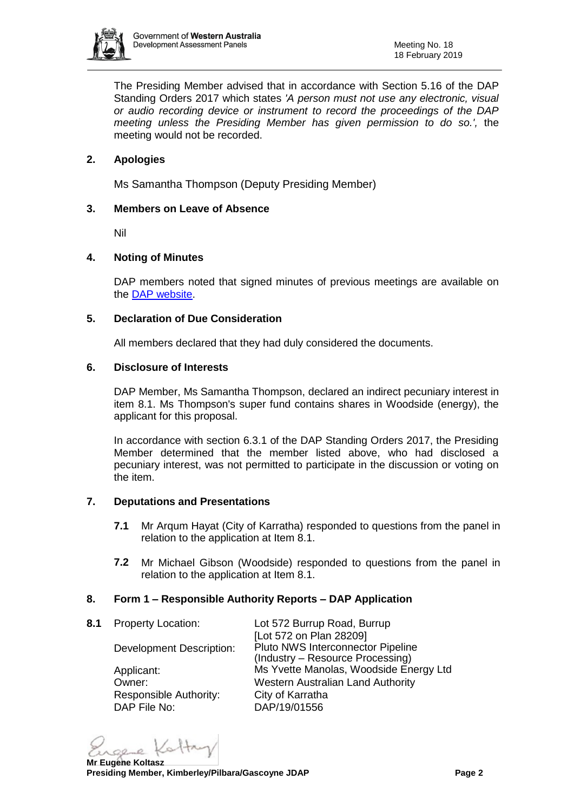

The Presiding Member advised that in accordance with Section 5.16 of the DAP Standing Orders 2017 which states *'A person must not use any electronic, visual or audio recording device or instrument to record the proceedings of the DAP meeting unless the Presiding Member has given permission to do so.',* the meeting would not be recorded.

## **2. Apologies**

Ms Samantha Thompson (Deputy Presiding Member)

## **3. Members on Leave of Absence**

Nil

## **4. Noting of Minutes**

DAP members noted that signed minutes of previous meetings are available on the [DAP website.](https://www.dplh.wa.gov.au/about/development-assessment-panels/daps-agendas-and-minutes)

## **5. Declaration of Due Consideration**

All members declared that they had duly considered the documents.

## **6. Disclosure of Interests**

DAP Member, Ms Samantha Thompson, declared an indirect pecuniary interest in item 8.1. Ms Thompson's super fund contains shares in Woodside (energy), the applicant for this proposal.

In accordance with section 6.3.1 of the DAP Standing Orders 2017, the Presiding Member determined that the member listed above, who had disclosed a pecuniary interest, was not permitted to participate in the discussion or voting on the item.

### **7. Deputations and Presentations**

- **7.1** Mr Arqum Hayat (City of Karratha) responded to questions from the panel in relation to the application at Item 8.1.
- **7.2** Mr Michael Gibson (Woodside) responded to questions from the panel in relation to the application at Item 8.1.

#### **8. Form 1 – Responsible Authority Reports – DAP Application**

**8.1** Property Location: Lot 572 Burrup Road, Burrup [Lot 572 on Plan 28209] Development Description: Pluto NWS Interconnector Pipeline (Industry – Resource Processing) Applicant: Ms Yvette Manolas, Woodside Energy Ltd Owner: Western Australian Land Authority Responsible Authority: City of Karratha DAP File No: DAP/19/01556

sere Kattry

**Mr Eugene Koltasz Presiding Member, Kimberley/Pilbara/Gascoyne JDAP Page 2**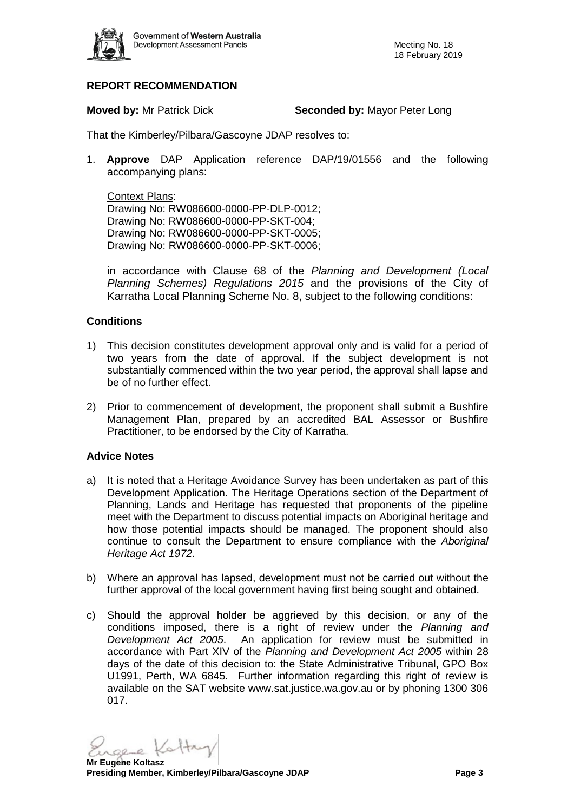

## **REPORT RECOMMENDATION**

**Moved by:** Mr Patrick Dick **Seconded by:** Mayor Peter Long

That the Kimberley/Pilbara/Gascoyne JDAP resolves to:

1. **Approve** DAP Application reference DAP/19/01556 and the following accompanying plans:

Context Plans:

Drawing No: RW086600-0000-PP-DLP-0012; Drawing No: RW086600-0000-PP-SKT-004; Drawing No: RW086600-0000-PP-SKT-0005; Drawing No: RW086600-0000-PP-SKT-0006;

in accordance with Clause 68 of the *Planning and Development (Local Planning Schemes) Regulations 2015* and the provisions of the City of Karratha Local Planning Scheme No. 8, subject to the following conditions:

## **Conditions**

- 1) This decision constitutes development approval only and is valid for a period of two years from the date of approval. If the subject development is not substantially commenced within the two year period, the approval shall lapse and be of no further effect.
- 2) Prior to commencement of development, the proponent shall submit a Bushfire Management Plan, prepared by an accredited BAL Assessor or Bushfire Practitioner, to be endorsed by the City of Karratha.

## **Advice Notes**

- a) It is noted that a Heritage Avoidance Survey has been undertaken as part of this Development Application. The Heritage Operations section of the Department of Planning, Lands and Heritage has requested that proponents of the pipeline meet with the Department to discuss potential impacts on Aboriginal heritage and how those potential impacts should be managed. The proponent should also continue to consult the Department to ensure compliance with the *Aboriginal Heritage Act 1972*.
- b) Where an approval has lapsed, development must not be carried out without the further approval of the local government having first being sought and obtained.
- c) Should the approval holder be aggrieved by this decision, or any of the conditions imposed, there is a right of review under the *Planning and Development Act 2005*. An application for review must be submitted in accordance with Part XIV of the *Planning and Development Act 2005* within 28 days of the date of this decision to: the State Administrative Tribunal, GPO Box U1991, Perth, WA 6845. Further information regarding this right of review is available on the SAT website www.sat.justice.wa.gov.au or by phoning 1300 306 017.

see Kattry

**Mr Eugene Koltasz Presiding Member, Kimberley/Pilbara/Gascoyne JDAP Page 3**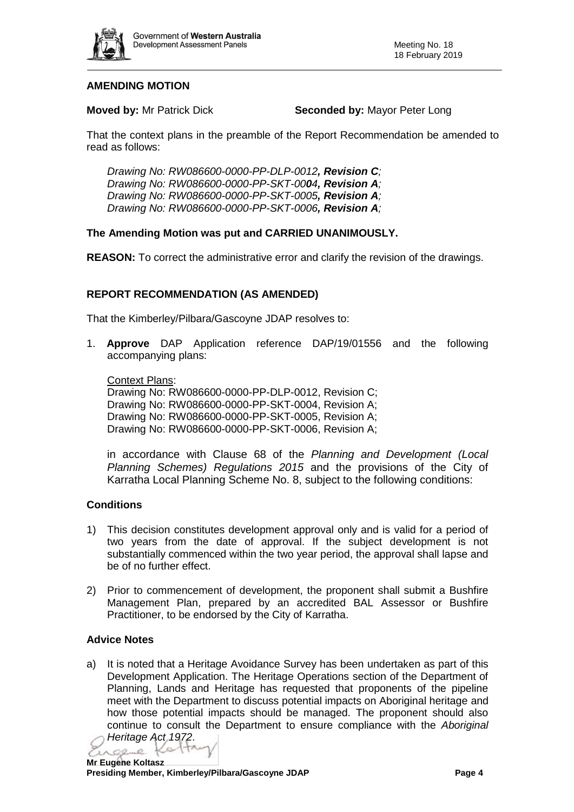

## **AMENDING MOTION**

**Moved by:** Mr Patrick Dick **Seconded by:** Mayor Peter Long

That the context plans in the preamble of the Report Recommendation be amended to read as follows:

*Drawing No: RW086600-0000-PP-DLP-0012, Revision C; Drawing No: RW086600-0000-PP-SKT-0004, Revision A; Drawing No: RW086600-0000-PP-SKT-0005, Revision A; Drawing No: RW086600-0000-PP-SKT-0006, Revision A;*

## **The Amending Motion was put and CARRIED UNANIMOUSLY.**

**REASON:** To correct the administrative error and clarify the revision of the drawings.

## **REPORT RECOMMENDATION (AS AMENDED)**

That the Kimberley/Pilbara/Gascoyne JDAP resolves to:

1. **Approve** DAP Application reference DAP/19/01556 and the following accompanying plans:

Context Plans:

Drawing No: RW086600-0000-PP-DLP-0012, Revision C; Drawing No: RW086600-0000-PP-SKT-0004, Revision A; Drawing No: RW086600-0000-PP-SKT-0005, Revision A; Drawing No: RW086600-0000-PP-SKT-0006, Revision A;

in accordance with Clause 68 of the *Planning and Development (Local Planning Schemes) Regulations 2015* and the provisions of the City of Karratha Local Planning Scheme No. 8, subject to the following conditions:

## **Conditions**

- 1) This decision constitutes development approval only and is valid for a period of two years from the date of approval. If the subject development is not substantially commenced within the two year period, the approval shall lapse and be of no further effect.
- 2) Prior to commencement of development, the proponent shall submit a Bushfire Management Plan, prepared by an accredited BAL Assessor or Bushfire Practitioner, to be endorsed by the City of Karratha.

## **Advice Notes**

a) It is noted that a Heritage Avoidance Survey has been undertaken as part of this Development Application. The Heritage Operations section of the Department of Planning, Lands and Heritage has requested that proponents of the pipeline meet with the Department to discuss potential impacts on Aboriginal heritage and how those potential impacts should be managed. The proponent should also continue to consult the Department to ensure compliance with the *Aboriginal* 

*Heritage Act 1972*.  $0000$